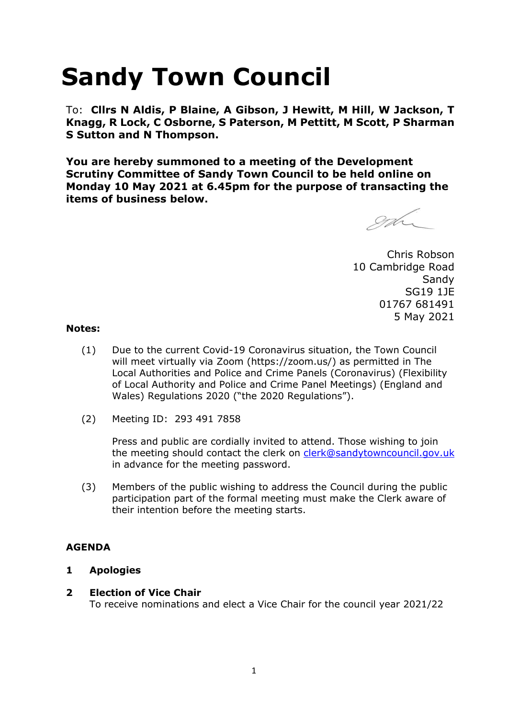# **Sandy Town Council**

To: **Cllrs N Aldis, P Blaine, A Gibson, J Hewitt, M Hill, W Jackson, T Knagg, R Lock, C Osborne, S Paterson, M Pettitt, M Scott, P Sharman S Sutton and N Thompson.** 

**You are hereby summoned to a meeting of the Development Scrutiny Committee of Sandy Town Council to be held online on Monday 10 May 2021 at 6.45pm for the purpose of transacting the items of business below.**

enh

Chris Robson 10 Cambridge Road **Sandy** SG19 1JE 01767 681491 5 May 2021

#### **Notes:**

- (1) Due to the current Covid-19 Coronavirus situation, the Town Council will meet virtually via Zoom (https://zoom.us/) as permitted in The Local Authorities and Police and Crime Panels (Coronavirus) (Flexibility of Local Authority and Police and Crime Panel Meetings) (England and Wales) Regulations 2020 ("the 2020 Regulations").
- (2) Meeting ID: 293 491 7858

Press and public are cordially invited to attend. Those wishing to join the meeting should contact the clerk on [clerk@sandytowncouncil.gov.uk](mailto:clerk@sandytowncouncil.gov.uk) in advance for the meeting password.

(3) Members of the public wishing to address the Council during the public participation part of the formal meeting must make the Clerk aware of their intention before the meeting starts.

## **AGENDA**

#### **1 Apologies**

#### **2 Election of Vice Chair**

To receive nominations and elect a Vice Chair for the council year 2021/22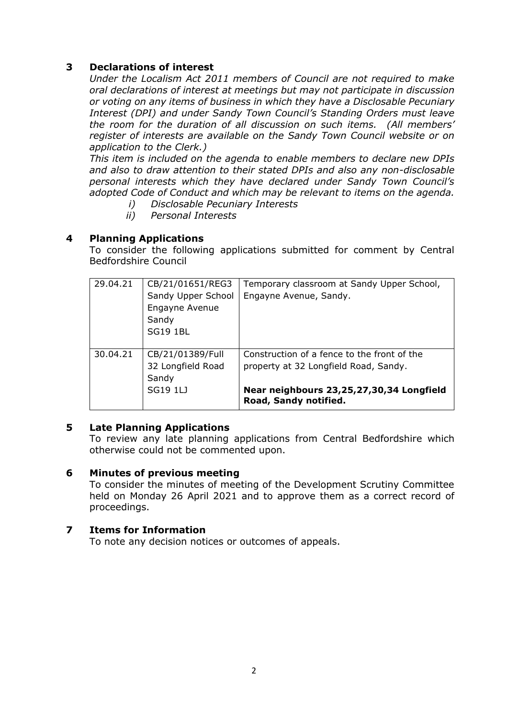### **3 Declarations of interest**

*Under the Localism Act 2011 members of Council are not required to make oral declarations of interest at meetings but may not participate in discussion or voting on any items of business in which they have a Disclosable Pecuniary Interest (DPI) and under Sandy Town Council's Standing Orders must leave the room for the duration of all discussion on such items. (All members' register of interests are available on the Sandy Town Council website or on application to the Clerk.)* 

*This item is included on the agenda to enable members to declare new DPIs and also to draw attention to their stated DPIs and also any non-disclosable personal interests which they have declared under Sandy Town Council's adopted Code of Conduct and which may be relevant to items on the agenda.* 

- *i) Disclosable Pecuniary Interests*
- *ii) Personal Interests*

#### **4 Planning Applications**

To consider the following applications submitted for comment by Central Bedfordshire Council

| 29.04.21 | CB/21/01651/REG3<br>Sandy Upper School<br>Engayne Avenue<br>Sandy<br><b>SG19 1BL</b> | Temporary classroom at Sandy Upper School,<br>Engayne Avenue, Sandy.                                                                                      |
|----------|--------------------------------------------------------------------------------------|-----------------------------------------------------------------------------------------------------------------------------------------------------------|
| 30.04.21 | CB/21/01389/Full<br>32 Longfield Road<br>Sandy<br><b>SG19 1LJ</b>                    | Construction of a fence to the front of the<br>property at 32 Longfield Road, Sandy.<br>Near neighbours 23,25,27,30,34 Longfield<br>Road, Sandy notified. |

#### **5 Late Planning Applications**

To review any late planning applications from Central Bedfordshire which otherwise could not be commented upon.

#### **6 Minutes of previous meeting**

To consider the minutes of meeting of the Development Scrutiny Committee held on Monday 26 April 2021 and to approve them as a correct record of proceedings.

#### **7 Items for Information**

To note any decision notices or outcomes of appeals.